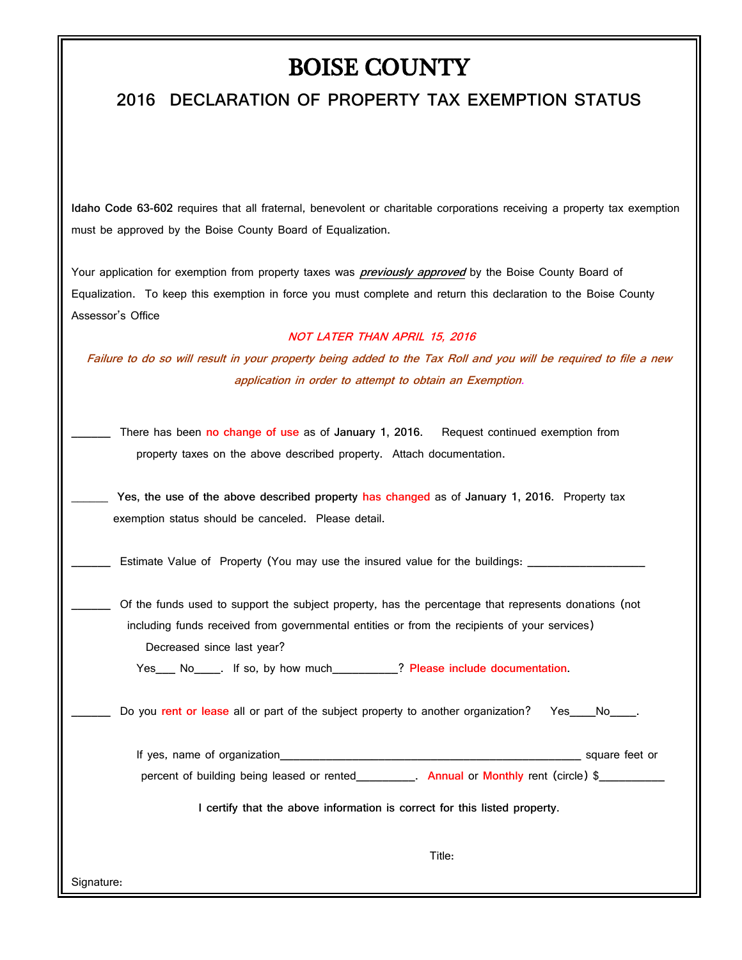## BOISE COUNTY

## **2016 DECLARATION OF PROPERTY TAX EXEMPTION STATUS**

**Idaho Code 63-602** requires that all fraternal, benevolent or charitable corporations receiving a property tax exemption must be approved by the Boise County Board of Equalization.

Your application for exemption from property taxes was **previously approved** by the Boise County Board of Equalization. To keep this exemption in force you must complete and return this declaration to the Boise County Assessor's Office

## **NOT LATER THAN APRIL 15, 2016**

**Failure to do so will result in your property being added to the Tax Roll and you will be required to file a new application in order to attempt to obtain an Exemption.**

\_\_\_\_\_\_ There has been **no change of use** as of **January 1, 2016.** Request continued exemption from property taxes on the above described property. Attach documentation.

**\_\_\_\_\_\_ Yes, the use of the above described property has changed** as of **January 1, 2016.** Property tax exemption status should be canceled. Please detail.

Estimate Value of Property (You may use the insured value for the buildings:

\_\_\_\_\_\_ Of the funds used to support the subject property, has the percentage that represents donations (not including funds received from governmental entities or from the recipients of your services) Decreased since last year?

Yes\_\_\_ No\_\_\_\_. If so, by how much\_\_\_\_\_\_\_\_\_\_? **Please include documentation.**

Do you rent or lease all or part of the subject property to another organization? Yes\_\_\_No\_\_\_\_.

If yes, name of organization\_\_\_\_\_\_\_\_\_\_\_\_\_\_\_\_\_\_\_\_\_\_\_\_\_\_\_\_\_\_\_\_\_\_\_\_\_\_\_\_\_\_\_\_\_\_ square feet or

percent of building being leased or rented **Annual** or **Monthly** rent (circle) \$

**I certify that the above information is correct for this listed property.**

Title:

Signature:

''''''''